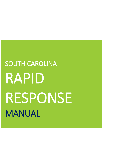# SOUTH CAROLINA RAPID RESPONSE MANUAL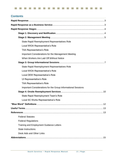#### and the control . . . . . . . . . . . **Contract Contract**  $\mathcal{L}^{\text{max}}$  $\mathcal{L}_{\mathcal{A}}$ **Ta**

# **Contents**

| State Rapid Reemployment Representatives Role                 |  |
|---------------------------------------------------------------|--|
| Local WIOA Representative's Role                              |  |
| <b>TAA Representative's Role</b>                              |  |
| Important Considerations for the Management Meeting           |  |
| When Workers Are Laid Off Without Notice                      |  |
|                                                               |  |
| State Rapid Reemployment Representatives Role                 |  |
| Local WIOA Representative's Role                              |  |
| Local DEW Representative's Role                               |  |
| UI Representative's Role                                      |  |
| <b>TAA Representative's Role</b>                              |  |
| Important Considerations for the Group Informational Sessions |  |
|                                                               |  |
| State Rapid Reemployment Team's Role                          |  |
| Local SC Works Representative's Role                          |  |
|                                                               |  |
|                                                               |  |
| 13                                                            |  |
| <b>Federal Statutes</b>                                       |  |
| <b>Federal Regulations</b>                                    |  |
| <b>Training and Employment Guidance Letters</b>               |  |
| <b>State Instructions</b>                                     |  |
| Desk Aids and Other Links                                     |  |
|                                                               |  |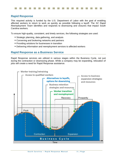## **Rapid Response**

This required activity is funded by the U.S. Department of Labor with the goal of enabling affected workers to return to work as quickly as possible following a layoff. The *SC Rapid Reemployment Team* identifies and responds to downsizing and closures that impact South Carolina workers.

To ensure high-quality, consistent, and timely services, the following strategies are used:

- Strategic planning, data gathering, and analysis
- Convening and brokering networks and partners
- **Providing solutions for businesses in transition**
- **Delivering information and reemployment services to affected workers**

## **Rapid Response as a Business Service**

Rapid Response services are utilized in various stages within the Business Cycle, not just during the contraction or downsizing phase. While a company may be expanding, relocation of jobs will create a need for Rapid Response assistance.

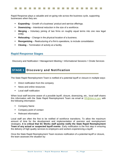Rapid Response plays a valuable and on-going role across the business cycle, supporting businesses when they are:

- **Expanding** Growth of a business' product and service offerings.
- **Downsizing** Intentional reduction in the size of a workforce.
- **Merging** Voluntary joining of two firms on roughly equal terms into one new legal entity.
- **Relocating** Change in the physical location of a business.
- **Reorganizing** Restructuring of a firm's operations, to include consolidation.
- **Closing** Termination of activity at a facility.

#### **Rapid Response Stages**

Discovery and Notification • Management Meeting • Informational Sessions • Onsite Services

# **STAGE 1 Discover y and Notification**

The State Rapid Reemployment Team is notified of a potential layoff or closure in multiple ways:

- Direct notification from the company
- News and online resources
- Local staff notification

When local staff become aware of a possible layoff, closure, downsizing, etc., local staff shares this information with the State Rapid Reemployment Team via email at  $RR@dev.sc.gov$  with the following information:

- **Company Name**
- Company point of contact
- Relevant information

Local staff are often the first to be notified of workforce transitions. To allow the maximum amount of time for the development and implementation of aversion and reemployment strategies, **it is critical that SC Works staff quickly notify the State Rapid Reemployment Team of any actual or suspected layoff events**. Early notification is the first step in ensuring the delivery of high quality services to employers and workers experiencing a layoff.

Once the State Rapid Reemployment Team receives notification of a potential layoff or closure, the team assesses the situation by: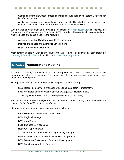- Gathering information/facts, preparing materials, and identifying potential tactics for layoff aversion, and
- Analyzing industry and occupational trends to identify whether the business and impacted workers will need short-term or more sustainable services.

When a Worker Adjustment and Retraining Notification or WARN Notification is received, the Department of Employment and Workforce (DEW) Special Initiatives Administrative Assistant files the notice and sends a copy to the following:

- Assistant Executive Director of Workforce Operations
- Director of Business and Economic Development
- Rapid Reemployment Manager

After confirming that a layoff is anticipated, the State Rapid Reemployment Team starts the Company Information Report in addition to an Event Summary Report.

# **STAGE 2 Management Meeting**

At an initial meeting, circumstances for the anticipated layoff are discussed along with the demographics of affected workers. Descriptions of informational sessions and services are provided to the employer.

Management Meeting Teams are generally comprised of the following:

- State Rapid Reemployment Manager or assigned state team representative
- Local Workforce and Innovation Opportunity Act (WIOA) Representative
- Trade Adjustment Assistance (TAA) Representative (if applicable)

*Additional team members are copied on the Management Meeting email, but only attend when asked to by the Rapid Reemployment Manager.*

Management Meeting email invites are sent to the following:

- **EXEC** Local Workforce Development Administrator
- **DEW Regional Manager**
- DEW Area Director
- Local Business Services Lead
- **ReadySC Representative**
- SC Department of Commerce, Existing Industry Manager
- **DEW Assistant Executive Director of Workforce Operations**
- DEW Director of Business and Economic Development
- DEW Director of Workforce Programs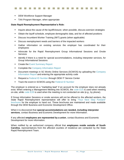- 
- DEW Workforce Support Manager
- TAA Program Manager, when appropriate

#### **State Rapid Reemployment Representative's Role:**

- **Inquire about the cause of the layoff/closure; when possible, discuss aversion strategies**
- Obtain the layoff schedule, employee demographic data, and list of affected positions
- Discuss Incumbent Worker Training (IWT) grants (when applicable)
- Discuss reemployment needs and barriers of the impacted workers
- Gather information on existing services the employer has coordinated for their employees
- Advocate for the Rapid Reemployment Group Informational Sessions and Onsite **Services**
- Identify if there is a need for special accommodations, including interpreter services, for Group Informational Sessions
- **Create the Event Summary Report**
- **Complete the Company Information Report**
- Document meetings in SC Works Online Services (SCWOS) by uploading the Company Information Report and entering the appropriate activity code
- **Request a Federal ID Number through DEW IT Service Center**
- Track the event in SCWOS using the Federal ID Number

The employer is entered as a "marketing lead" if an account for the employer does not already exist. When entering a Management Meeting into SCWOS, the code E15 is used when meeting on-site, while code E28 is used when the meeting is not conducted on-site (e.g., by phone).

If Group Information Sessions or onsite services will not be offered to the affected workers, the State Rapid Reemployment representative will offer to bring "Your Next Step Forward" brochures for the employer to hand out. These brochures are maintained and made available through the DEW Business and Economic Development Office.

When it is discovered that **special accommodations are needed, including interpreter services**, contact Business and Economic Development for more information.

If any affected **employees are represented by a union**, contact Business and Economic Development for more information.

When notified by an authorized company official that **employees reside outside of South Carolina**, representatives from the affected counties of residence are contacted by the State Rapid Reemployment Team.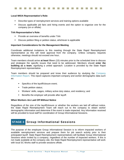#### **Local WIOA Representative's Role:**

- Describe types of reemployment services and training options available
- Discuss applicable job fairs and hiring events and the option to organize one for the company (on or offsite)

#### **TAA Representative's Role:**

- Provide an overview of benefits under TAA
- **Discuss petition filing or petition status, whichever is applicable**

#### **Important Considerations for the Management Meeting**

Coordinate additional invitations to this meeting through the State Rapid Reemployment representative as this will need approval from the company. Unless company requests otherwise, meetings should not exceed one hour*.*

Team members should arrive **at least** fifteen (15) minutes prior to the scheduled time to discuss and strategize the specific issues that need to be addressed. Members should **enter the building as a team**, signifying a united approach. Location is provided by the State Rapid Reemployment representative.

Team members should be prepared and know their audience by studying the Company Information Report*.* This report captures important company and worker demographic data such as:

- **Specifics of the layoff/closure event;**
- **Trade petition status;**
- Workers' skills, wages, military active duty status, and residency; and
- Benefits the employer will provide after layoff.

#### **When Workers Are Laid Off Without Notice**

Regardless of the size of the layoff/closure or whether the workers are laid off without notice, the State Rapid Reemployment Team will reach out to the company to obtain worker demographic information and determine if the event is trade-impacted. Any information received will be provided to local staff for coordination of Group Informational Sessions.

# **STAGE 3 Group Informational Sessions**

The purpose of the employee Group Informational Session is to inform impacted workers of available reemployment services and prepare them for job search activity prior to their anticipated layoff. State Rapid Reemployment representatives will facilitate Group Informational Sessions when invited by a company, regardless of the number of impacted workers. If this is not made available at the company site, the State Rapid Reemployment representative will work with local SC Works staff to provide sessions offsite.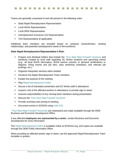Teams are generally comprised of and will present in the following order:

- **State Rapid Reemployment Representative**
- **Local WIOA Representative**
- **-** Local DEW Representative
- **Unemployment Insurance (UI) Representative**
- TAA Representative (if applicable)

*Additional team members are included based on company characteristics, existing relationships, and potential reemployment needs of the workforce.*

#### **State Rapid Reemployment Representative's Role:**

- Prepare and distribute folders that include the "Your Next Step Forward" brochure and handouts created by local staff regarding SC Works locations and upcoming events (e.g., all local WIOA information, WIOA partner schools, in demand certifications or degrees, hiring events and job fairs, area workshop schedules, and relevant job postings, etc.)
- Organize interpreter services when needed
- Introduce the Rapid Reemployment Team members
- **Explain the purpose of the meeting**
- Play Rapid Reemployment Video
- Secure a list of orientation presenters and SC Works staff in attendance
- Acquire a list of the affected workers in attendance or provide sign-in sheet
- Assume responsibilities of any missing team members during presentation
- **Discuss the "Your Next Step Forward" brochure**
- **Provide summary and closing of meeting**
- Document events in SCWOS using code E16

"Your Next Step Forward" brochures are maintained and made available through the DEW Business and Economic Development Office.

If any affected **employees are represented by a union**, contact Business and Economic Development for more information.

The Rapid Reemployment Video is available online at SCWorks.org, and copies are available through the DEW Public Information Office.

When providing an affected worker sign-in sheet, use the approved Rapid Reemployment Team template or greeter.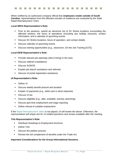When notified by an authorized company official that **employees reside outside of South Carolina**, representatives from the affected counties of residence are contacted by the State Rapid Reemployment Team.

#### **Local WIOA Representative's Role:**

- **Prior to the sessions, submit an electronic list of SC Works locations surrounding the** affected workers, the hours of operations (including any holiday closures), contact information, and a calendar of upcoming events
- Discuss SC Works locations, hours of operation, and contact details
- Discuss calendar of upcoming events
- Discuss training opportunities (e.g., classroom, On-the-Job Training [OJT])

#### **Local DEW Representative's Role:**

- **Provide relevant job openings (who's hiring) in the area**
- **Discuss veteran's assistance**
- Discuss SCWOS
- Explain job search assistance and referrals
- Discuss UI portal registration assistance

#### **UI Representative's Role:**

- Define UI
- Discuss weekly benefit amount and duration
- **Explain UI payments (e.g., debit card or direct deposits)**
- Discuss UI tax
- Discuss eligibility (e.g., able, available, actively searching)
- **Discuss part-time employment and wage reporting**
- **•** Define refusal of suitable employment

*If the Rapid Reemployment Video is not played, UI will review the above. Otherwise, the representative will simply ask for UI-related questions and remain available after the meeting.*

#### **TAA Representative's Role:**

- Distribute *Roadmap to Employment* brochure
- Define TAA
- **Discuss the petition process**
- Review the full complement of benefits under the Trade Act

#### **Important Considerations for the Group Informational Sessions**: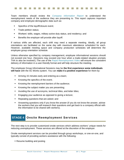Team members should review the *Company Information Report* to understand the reemployment needs of the audience they are presenting to. This report captures important company and employee demographic data such as:

- **Specifics of the layoff/closure event;**
- **Trade petition status;**
- Workers' skills, wages, military active duty status, and residency; and
- **Benefits the employer will provide after layoff.**

If various shifts are affected, each shift may need a separate meeting. Ideally, all group orientations are facilitated on the same day with maximum attendance scheduled for each. However, available meeting space and company production schedules will determine the employee group orientation schedule.

Unless otherwise specified by company management, employee informational sessions should not exceed one hour. (Sessions may exceed one hour when a trade-related situation prompts TAA to also be involved.) The use of the Rapid Reemployment Video will ensure the consistent delivery of information in a user-friendly format and will help structure the meeting.

The employee Group Informational Sessions may be **the first experience some individuals will have** with the SC Works system. You can **make it a positive experience** for them by:

- Arriving 15 minutes early and entering as a team;
- Knowing the specifics of the event;
- Knowing the reemployment barriers of the audience;
- Knowing the subject matter you are presenting;
- Avoiding the use of acronyms, technical titles, and letter titles;
- Engaging your audience as opposed to giving a lecture;
- Repeating questions that are asked; and
- Answering questions only if you know the answer (if you do not know the answer, advise the workers that you will research their questions and get back to a company official with the information to be shared with workers).

# **STAGE 4 Onsite Reemployment Services**

The next step is to provide customized onsite services which address workers' unique needs for reducing unemployment. These services are offered at the discretion of the employer.

Onsite reemployment services can be provided through group workshops, or one-on-one, and typically consist of providing workers assistance with the following:

Resume building and posting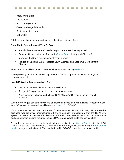- **Interviewing skills**
- **Job searching**
- **SCWOS registration**
- Career and wage information
- **Basic computer literacy**
- **UI** benefits

Job fairs may also be offered and can be held either onsite or offsite.

#### **State Rapid Reemployment Team's Role:**

- If Identify the number of staff needed to provide the services requested
- Bring additional equipment if needed (Career Coach, laptops, Mi-Fi's, etc.)
- **Introduce the Rapid Reemployment Team members**
- Provide an updated Event Report to DEW Business and Economic Development **Director**

The Coordinator will document on-site services in SCWOS using code E24.

When providing an affected worker sign-in sheet, use the approved Rapid Reemployment template or greeter.

#### **Local SC Works Representative's Role:**

- Create position templates for resume assistance
- Assign staff to provide services per company schedule
- Assist workers with resume building, SCWOS and/or UI registration, job search assistance

When providing job seekers services to an individual associated with a Rapid Response event, local SC Works representatives will enter the code 110 in SCWOS.

It's important to keep in mind the impact of these services. Not only do they help soon-to-be displaced workers avoid unemployment, it shows company management that the SC Works system can serve businesses effectively and efficiently. Representatives should be comfortable and competent in building resumes, using SCWOS, and overall customer service skills.

Regardless of where a service is provided (e.g., onsite, in the Career Coach, at a local SC Works Center, etc.), the individuals should be tied to the layoff/closure by using the Federal ID number assigned to that event. This can be found in SCWOS under the company's profile.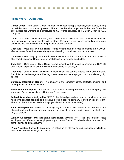#### **"Blue Word" Definitions**

**Career Coach** – The Career Coach is a mobile unit used for rapid reemployment events, during natural disasters, or community events. The unit can be taken anywhere in the state for on the spot access for workers and employers to SC Works services. The Career Coach is ADA compliant.

**Code 110** – Used only by local staff, this code is entered into SCWOS to tie services provided to an individual that is associated with a Rapid Response event. A corresponding case note should include the employer and the projected dislocation date.

**Code E15** – Used only by State Rapid Reemployment staff, this code is entered into SCWOS after an onsite Rapid Response Management Meeting is conducted with an employer.

**Code E16** – Used only by State Rapid Reemployment staff, this code is entered into SCWOS after Rapid Response Group Informational Sessions have been conducted.

**Code E24** – Used only by State Rapid Reemployment staff, this code is entered into SCWOS after Rapid Response Onsite Services are provided to an employer.

**Code E28** – Used only by State Rapid Response staff, this code is entered into SCWOS after a Rapid Response Management Meeting is conducted with an employer, but not onsite (e.g., by phone).

**Company Information Report** – A summary of the company name, contacts, timeline, and demographics of affected workers.

**Event Summary Report** – A collection of information including the history of the company and summary of events associated with the layoff or closure.

**Federal ID Number** – Assigned by DEW IT, this federally-mandated marker, provides a unique number to connect activities and individuals with a specific company's layoff or closure event. This is not the IRS issued Federal Employer Identification Number (FEIN).

**Rapid Reemployment Video** – Capturing key information most relevant and requested by affected workers, this resource provides a summary of programs and services in which they may be eligible.

**Worker Adjustment and Retraining Notification (WARN) Act** –This law requires most employers with 100 or more employees to provide notification 60 calendar days in advance of plant closings and mass layoffs.

**"Your Next Step Forward" Brochure** – A collection of information and resources available to individuals affected by a layoff or closure.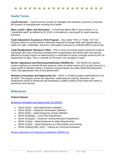### **Useful Terms**

**Layoff Aversion** – Layoff aversion consists of strategies and activities to prevent or minimize the duration of unemployment resulting from layoffs.

**Mass Layoff** or **Mass Job Dislocation** – A layoff that affects fifty or more workers, or a "substantial layoff" as defined by SI 18-08, is considered a mass layoff for rapid response purposes.

**Trade Adjustment Assistance (TAA) Program** – Also called "TAA" or "Trade," the TAA Program seeks to provide workers adversely impacted by foreign trade with opportunities to obtain the skills, credentials, resources, and support necessary to (re)build skills for future jobs.

**Trade Readjustment Allowance (TRA)** – TRA is a form of income support payments made to individuals who have exhausted unemployment compensation and whose jobs were directly affected by foreign imports as determined by a certification of group coverage issued by the US Department of Labor. This is a benefit of TAA and is not a program in itself.

**Worker Adjustment and Retraining Notification (WARN) Act** – The WARN Act requires certain employers to provide 60 days advance notice of certain events such as plant closures or mass layoffs to affected workers, employee representatives, the State Rapid Reemployment Team, and appropriate units of local government.

**Workforce Innovation and Opportunity Act** – WIOA is a federal program administered in SC by DEW. The program serves two objectives: addressing the training, education, and employment needs of individuals and developing a skilled workforce that meets the needs of businesses and industry.

#### **References**

#### **Federal Statutes**

[Workforce Innovation and Opportunities Act \(WIOA\)](https://www.govinfo.gov/content/pkg/PLAW-113publ128/pdf/PLAW-113publ128.pdf)

- WIOA §3(15) Dislocated Worker Definition
- WIOA §3(16) Displaced Homemaker Definition
- WIOA §3(51) Rapid Response Activity Definition
- WIOA §108(b)(8) Local Plan Requirement
- WIOA §133(a)(2) Governor Funding Allocation Requirement
- WIOA §134(a) Rapid Response Funding Requirements
- WIOA §134(d) Rapid Response as a Permissible Local Activity
- WIOA  $§168(a)(1)(B)$ ,  $(b)(2)$  Training as Technical Assistance

[Worker Adjustment and Retraining Notification \(WARN\) Act](https://www.govinfo.gov/content/pkg/USCODE-2017-title29/pdf/USCODE-2017-title29-chap23.pdf)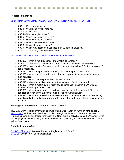#### **Federal Regulations**

#### [20 CFR Part 639 WORKER ADJUSTMENT AND RETRAINING NOTIFICATION](https://www.govinfo.gov/content/pkg/CFR-2018-title20-vol3/pdf/CFR-2018-title20-vol3-part639.pdf)

- 639.1 Purpose and scope.
- 639.2 What does WARN require?
- 639.3 Definitions.
- 639.4 Who must give notice?
- 639.5 When must notice be given?
- 639.6 Who must receive notice?
- 639.7 What must the notice contain?
- 639.8 How is the notice served?
- 639.9 When may notice be given less than 60 days in advance?
- 639.10 When may notice be extended?

#### 20 CFR Part 682, Subpart C – [RAPID RESPONSE ACTIVITIES](https://www.govinfo.gov/content/pkg/CFR-2018-title20-vol4/pdf/CFR-2018-title20-vol4-part682-subpartC.pdf)

- 682.300 What is rapid response, and what is its purpose?
- 682.302 Under what circumstances must rapid response services be delivered?
- 682.305 How does the Department define the term "mass layoff" for the purposes of rapid response?
- 682.310 Who is responsible for carrying out rapid response activities?
- 682.320 What is layoff aversion, and what are appropriate layoff aversion strategies and activities?
- 682.330 What rapid response activities are required?
- 682.340 May other activities be undertaken as part of rapid response?
- 682.350 What is meant by "provision of additional assistance" in the Workforce Innovation and Opportunity Act?
- 682.360 What rapid response, layoff aversion, or other information will States be required to report to the Employment and Training Administration?
- 682.370 What are the statewide activities for which rapid response funds remaining unobligated after the first program year for which the funds were allotted may be used by the State?

#### **Training and Employment Guidance Letters (TEGLs)**

TEGL 26-14: Workforce Innovation and Opportunity Act Transition Authority for Flexible U [TEGL 19-16:](https://wdr.doleta.gov/directives/corr_doc.cfm?DOCN=3851) Guidance on Services provided through the Adult and Dislocated Worker Programs under the Workforce Innovation and Opportunity Act (WIOA) and the Wagner-Peyser Act Employment Service (ES), as amended by title III of WIOA, and for Implementation of the WIOA Final Rules

#### **State Instructions (SIs)**

[SI 17-01, Change 1:](https://www.scworks.org/media/17_ET_Instruction/ET_Instruction_17-01_Change_1.pdf) Required Employer Registration in SCWOS [SI 18-08:](https://www.scworks.org/media/18_ET_Instruction/EA_Instruction_18-08.pdf) Definition of "Substantial Layoff"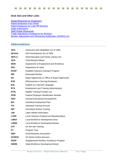**The Contract**  $\mathbb{R}^n$  $\sim 10$  $\overline{\phantom{a}}$  $\mathcal{L}^{\text{max}}$  $\mathcal{L}(\mathcal{A})$ **The Contract of State**  $\mathcal{L}^{\text{max}}$ **Tale**  $\mathcal{L}^{\mathcal{A}}$  $\mathbb{R}^n$  $\mathcal{L}^{\mathcal{A}}$  $\mathcal{L}(\mathcal{A})$ **Tara** t e s **Contract** a s

#### **Desk Aids and Other Links**

[Rapid Response for Employers](https://www.doleta.gov/layoff/employers.cfm) [Rapid Response Fact Sheet](https://ion.workforcegps.org/resources/2018/04/13/18/47/Rapid-Response-Fact-Sheet) [Rapid Response for Laid Off Workers](https://www.doleta.gov/layoff/workers.cfm) [State Instructions](https://www.scworks.org/docs2.asp) [Staff Online Resources](https://jobs.scworks.org/vosnet/staffresources.aspx) [Trade Adjustment Assistance for Workers](https://www.doleta.gov/tradeact/) [Worker Adjustment and Retraining Notification \(WARN\) Act](https://www.dol.gov/general/topic/termination/plantclosings)

## **Abbreviations**

| ADA          | Americans with Disabilities Act of 1990          |
|--------------|--------------------------------------------------|
| ADAAA        | ADA Amendments Act of 2008                       |
| <b>AEFLA</b> | Adult Education and Family Literacy Act          |
| <b>CEO</b>   | <b>Chief Elected Official</b>                    |
| <b>DEW</b>   | Department of Employment and Workforce           |
| DOL          | Department of Labor                              |
| <b>DVOP</b>  | Disabled Veterans Outreach Program               |
| <b>DW</b>    | <b>Dislocated Worker</b>                         |
| EO           | Equal Opportunity or Office of Equal Opportunity |
| <b>ESE</b>   | <b>Effectiveness in Serving Employers</b>        |
| ESL          | English as a Second Language                     |
| <b>ETA</b>   | <b>Employment and Training Administration</b>    |
| <b>ETPL</b>  | Eligible Training Provider List                  |
| <b>FEIN</b>  | Federal Employer Identification Number           |
| <b>GED</b>   | <b>General Educational Development</b>           |
| <b>IEP</b>   | Individual Employment Plan                       |
| <b>ITA</b>   | Individual Training Account                      |
| <b>IWT</b>   | Incumbent Worker Training                        |
| LMI          | Labor Market Information                         |
| <b>LVER</b>  | Local Veterans Employment Representative         |
| <b>LWDA</b>  | Local Workforce Development Area                 |
| <b>LWDB</b>  | Local Workforce Development Board                |
| <b>OJT</b>   | On-the-Job Training                              |
| <b>PY</b>    | Program Year                                     |
| <b>SBA</b>   | <b>Small Business Association</b>                |
| <b>SCWOS</b> | <b>SC Works Online Services</b>                  |
| <b>SNAP</b>  | Supplemental Nutrition Assistance Program        |
| <b>SWDB</b>  | State Workforce Development Board                |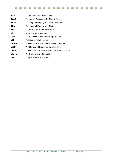| <b>TAA</b>  | <b>Trade Adjustment Assistance</b>               |
|-------------|--------------------------------------------------|
| <b>TANF</b> | <b>Temporary Assistance for Needy Families</b>   |
| <b>TEGL</b> | Training and Employment Guidance Letter          |
| <b>TEN</b>  | <b>Training and Employment Notice</b>            |
| <b>TRA</b>  | <b>Trade Readjustment Allowance</b>              |
| UI          | Unemployment Insurance                           |
| <b>UIPL</b> | Unemployment Insurance Program Letter            |
| <b>VR</b>   | Vocational Rehabilitation                        |
| <b>WARN</b> | Worker Adjustment and Retraining Notification    |
| <b>WED</b>  | Workforce and Economic Development               |
| <b>WIOA</b> | Workforce Innovation and Opportunity Act of 2014 |
| <b>WOTC</b> | <b>Work Opportunity Tax Credit</b>               |
| <b>WP</b>   | Wagner-Peyser Act of 1933                        |
|             |                                                  |

. . . . . . . . . . . . . . . . . . .